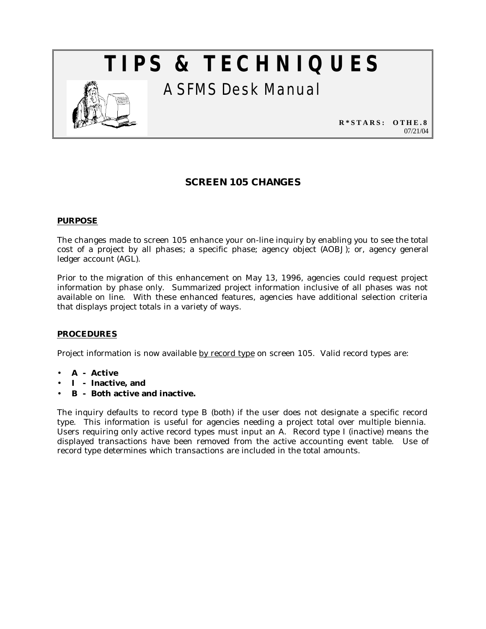# **TIPS & TECHNIQUES**



A SFMS Desk Manual

**R\*STARS: OTHE.8** 07/21/04

# **SCREEN 105 CHANGES**

## **PURPOSE**

The changes made to screen 105 enhance your on-line inquiry by enabling you to see the total cost of a project by all phases; a specific phase; agency object (AOBJ); or, agency general ledger account (AGL).

Prior to the migration of this enhancement on May 13, 1996, agencies could request project information by phase only. Summarized project information inclusive of all phases was not available on line. With these enhanced features, agencies have additional selection criteria that displays project totals in a variety of ways.

## **PROCEDURES**

Project information is now available by record type on screen 105. Valid record types are:

- **A Active**
- **I Inactive, and**
- **B Both active and inactive.**

The inquiry defaults to record type B (both) if the user does not designate a specific record type. This information is useful for agencies needing a project total over multiple biennia. Users requiring only active record types must input an A. Record type I (inactive) means the displayed transactions have been removed from the active accounting event table. Use of record type determines which transactions are included in the total amounts.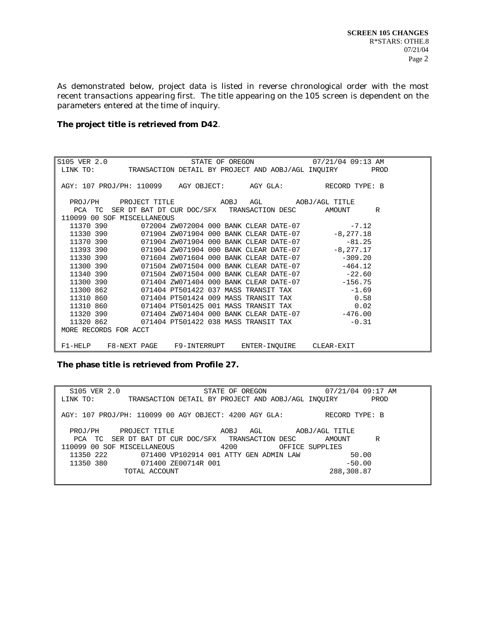As demonstrated below, project data is listed in reverse chronological order with the most recent transactions appearing first. The title appearing on the 105 screen is dependent on the parameters entered at the time of inquiry.

#### **The project title is retrieved from D42**.

S105 VER 2.0 STATE OF OREGON 07/21/04 09:13 AM TRANSACTION DETAIL BY PROJECT AND AOBJ/AGL INQUIRY AGY: 107 PROJ/PH: 110099 AGY OBJECT: AGY GLA: RECORD TYPE: B PROJ/PH PROJECT TITLE AOBJ AGL AOBJ/AGL TITLE PCA TC SER DT BAT DT CUR DOC/SFX TRANSACTION DESC AMOUNT R 110099 00 SOF MISCELLANEOUS<br>11370 390 072004 ZW 11370 390 072004 ZW072004 000 BANK CLEAR DATE-07 -7.12<br>11330 390 071904 ZW071904 000 BANK CLEAR DATE-07 -8,277.18 11330 390 071904 ZW071904 000 BANK CLEAR DATE-07 -8,277.18<br>11370 390 071904 ZW071904 000 BANK CLEAR DATE-07 -81.25 11370 390 071904 ZW071904 000 BANK CLEAR DATE-07 -81.25<br>11393 390 071904 ZW071904 000 BANK CLEAR DATE-07 -8,277.17 071904 ZW071904 000 BANK CLEAR DATE-07 11330 390 071604 ZW071604 000 BANK CLEAR DATE-07 -309.20<br>11300 390 071504 ZW071504 000 BANK CLEAR DATE-07 -464.12 11300 390 071504 ZW071504 000 BANK CLEAR DATE-07 -464.12<br>11340 390 071504 ZW071504 000 BANK CLEAR DATE-07 -22.60<br>11300 390 071404 ZW071404 000 BANK CLEAR DATE-07 -156.75<br>11300 862 071404 PT501422 037 MASS TRANSIT TAX -1.69 071504 ZW071504 000 BANK CLEAR DATE-07 -22.60<br>071404 ZW071404 000 BANK CLEAR DATE-07 -156.75 11300 390 071404 ZW071404 000 BANK CLEAR DATE-07 -156.75<br>11300 862 071404 PT501422 037 MASS TRANSIT TAX -1.69 11300 862 071404 PT501422 037 MASS TRANSIT TAX  $-1.69$ <br>11310 860 071404 PT501424 009 MASS TRANSIT TAX 0.58 11310 860 071404 PT501424 009 MASS TRANSIT TAX 0.58<br>11310 860 071404 PT501425 001 MASS TRANSIT TAX 0.02 11310 860 071404 PT501425 001 MASS TRANSIT TAX 0.02 11320 390 071404 ZW071404 000 BANK CLEAR DATE-07 -476.00 11320 330 071404 2N071404 000 BANK CLEAR BAIL-07<br>11320 862 071404 PT501422 038 MASS TRANSIT TAX -0.31 MORE RECORDS FOR ACCT F1-HELP F8-NEXT PAGE F9-INTERRUPT ENTER-INQUIRE CLEAR-EXIT

**The phase title is retrieved from Profile 27.**

| S105 VER 2.0                                          | STATE OF OREGON                                    | 07/21/04 09:17 AM |
|-------------------------------------------------------|----------------------------------------------------|-------------------|
| LINK TO:                                              | TRANSACTION DETAIL BY PROJECT AND AOBJ/AGL INOUIRY | PROD              |
|                                                       |                                                    |                   |
| AGY: 107 PROJ/PH: 110099 00 AGY OBJECT: 4200 AGY GLA: |                                                    | RECORD TYPE: B    |
|                                                       |                                                    |                   |
| PROJ/PH<br>PROJECT TITLE                              | AGL<br>AOBJ                                        | AOBJ/AGL TITLE    |
| PCA TC SER DT BAT DT CUR DOC/SFX TRANSACTION DESC     |                                                    | R<br>AMOUNT       |
| 110099 00 SOF MISCELLANEOUS                           | 4200                                               | OFFICE SUPPLIES   |
| 11350 222                                             | 071400 VP102914 001 ATTY GEN ADMIN LAW             | 50.00             |
| 11350 380<br>071400 ZE00714R 001                      |                                                    | $-50.00$          |
| TOTAL ACCOUNT                                         |                                                    | 288,308.87        |
|                                                       |                                                    |                   |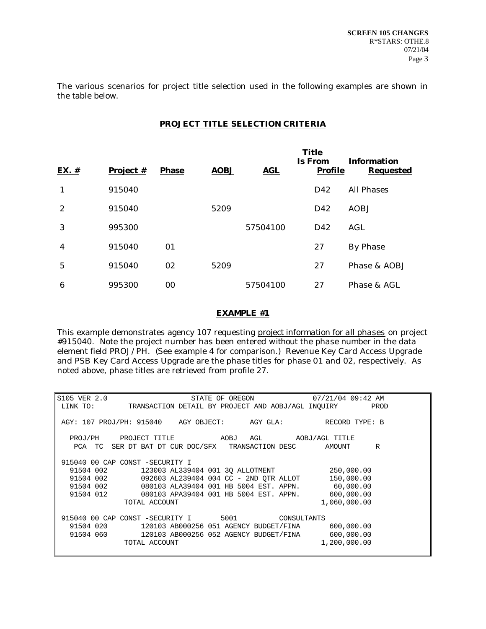The various scenarios for project title selection used in the following examples are shown in the table below.

# **PROJECT TITLE SELECTION CRITERIA**

| EX. # | Project # | <b>Phase</b> | <b>AOBJ</b> | <b>AGL</b> | <b>Title</b><br><b>Is From</b><br>Profile | <b>Information</b><br>Requested |
|-------|-----------|--------------|-------------|------------|-------------------------------------------|---------------------------------|
| 1     | 915040    |              |             |            | D42                                       | All Phases                      |
| 2     | 915040    |              | 5209        |            | D42                                       | AOBJ                            |
| 3     | 995300    |              |             | 57504100   | D42                                       | AGL                             |
| 4     | 915040    | 01           |             |            | 27                                        | By Phase                        |
| 5     | 915040    | 02           | 5209        |            | 27                                        | Phase & AOBJ                    |
| 6     | 995300    | 00           |             | 57504100   | 27                                        | Phase & AGL                     |

#### *EXAMPLE #1*

This example demonstrates agency 107 requesting *project information for all phases* on project #915040. Note the project number has been entered *without* the *phase number* in the data element field PROJ/PH. (See example 4 for comparison.) Revenue Key Card Access Upgrade and PSB Key Card Access Upgrade are the phase titles for phase 01 and 02, respectively. As noted above, phase titles are retrieved from profile 27.

| S105 VER 2.0<br>STATE OF OREGON                               | 07/21/04 09:42 AM |
|---------------------------------------------------------------|-------------------|
| LINK TO: TRANSACTION DETAIL BY PROJECT AND AOBJ/AGL INQUIRY   | PROD              |
|                                                               |                   |
| AGY: 107 PROJ/PH: 915040 AGY OBJECT:                          |                   |
|                                                               |                   |
| PROJ/PH PROJECT TITLE AOBJ AGL AOBJ/AGL TITLE                 |                   |
| PCA TC SER DT BAT DT CUR DOC/SFX TRANSACTION DESC             | R<br>AMOUNT       |
|                                                               |                   |
| 915040 00 CAP CONST -SECURITY I                               |                   |
| 91504 002 123003 AL339404 001 3Q ALLOTMENT 250,000.00         |                   |
| $91504$ 002 092603 AL239404 004 CC - 2ND QTR ALLOT            | 150,000.00        |
| 080103 ALA39404 001 HB 5004 EST. APPN. 60,000.00<br>91504 002 |                   |
| 91504 012 080103 APA39404 001 HB 5004 EST. APPN. 600,000.00   |                   |
| TOTAL ACCOUNT                                                 | 1,060,000.00      |
|                                                               |                   |
| 915040 00 CAP CONST -SECURITY I 5001 CONSULTANTS              |                   |
| 91504 020 120103 AB000256 051 AGENCY BUDGET/FINA 600,000.00   |                   |
| 91504 060 120103 AB000256 052 AGENCY BUDGET/FINA 600,000.00   |                   |
| TOTAL ACCOUNT                                                 | 1,200,000.00      |
|                                                               |                   |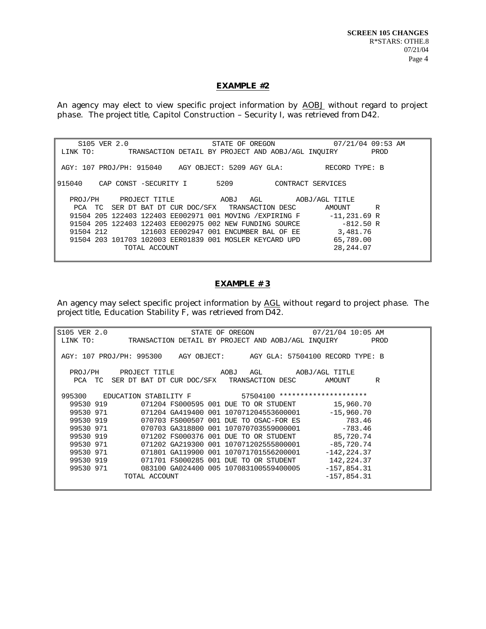#### *EXAMPLE #2*

An agency may elect to view specific project information by *AOBJ* without regard to project phase. The *project title*, Capitol Construction – Security I, was retrieved *from D42*.

| S105 VER 2.0 |                                                   | STATE OF OREGON                                          | 07/21/04 09:53 AM |
|--------------|---------------------------------------------------|----------------------------------------------------------|-------------------|
| LINK TO:     |                                                   | TRANSACTION DETAIL BY PROJECT AND AOBJ/AGL INOUIRY       | PROD              |
|              |                                                   |                                                          |                   |
|              |                                                   | AGY: 107 PROJ/PH: 915040 AGY OBJECT: 5209 AGY GLA:       | RECORD TYPE: B    |
|              |                                                   |                                                          |                   |
| 915040       | CAP CONST -SECURITY I                             | 5209<br>CONTRACT SERVICES                                |                   |
|              |                                                   |                                                          |                   |
| PROJ/PH      |                                                   |                                                          | AOBJ/AGL TITLE    |
|              | PCA TC SER DT BAT DT CUR DOC/SFX TRANSACTION DESC |                                                          | R<br>AMOUNT       |
|              |                                                   | 91504 205 122403 122403 EE002971 001 MOVING / EXPIRING F | $-11,231.69$ R    |
|              |                                                   | 91504 205 122403 122403 EE002975 002 NEW FUNDING SOURCE  | $-812.50 R$       |
| 91504 212    |                                                   | 121603 EE002947 001 ENCUMBER BAL OF EE                   | 3,481.76          |
|              |                                                   | 91504 203 101703 102003 EER01839 001 MOSLER KEYCARD UPD  | 65,789.00         |
|              | TOTAL ACCOUNT                                     |                                                          | 28, 244, 07       |
|              |                                                   |                                                          |                   |

# *EXAMPLE # 3*

An agency may select specific project information by *AGL* without regard to project phase. The *project title*, Education Stability F, was retrieved *from D42*.

| S105 VER 2.0 |                                                                       |                                        |  |  | STATE OF OREGON 07/21/04 10:05 AM |        |      |
|--------------|-----------------------------------------------------------------------|----------------------------------------|--|--|-----------------------------------|--------|------|
|              | LINK TO: TRANSACTION DETAIL BY PROJECT AND AOBJ/AGL INQUIRY           |                                        |  |  |                                   |        | PROD |
|              |                                                                       |                                        |  |  |                                   |        |      |
|              | AGY: 107 PROJ/PH: 995300 AGY OBJECT: AGY GLA: 57504100 RECORD TYPE: B |                                        |  |  |                                   |        |      |
|              |                                                                       |                                        |  |  |                                   |        |      |
|              | PROJ/PH PROJECT TITLE AOBJ AGL AOBJ/AGL TITLE                         |                                        |  |  |                                   |        |      |
|              | PCA TC SER DT BAT DT CUR DOC/SFX TRANSACTION DESC AMOUNT              |                                        |  |  |                                   |        | R    |
|              |                                                                       |                                        |  |  |                                   |        |      |
|              | 995300 EDUCATION STABILITY F 57504100 **********************          |                                        |  |  |                                   |        |      |
| 99530 919    | 071204 FS000595 001 DUE TO OR STUDENT 15,960.70                       |                                        |  |  |                                   |        |      |
|              | 99530 971  071204 GA419400 001 107071204553600001    -15,960.70       |                                        |  |  |                                   |        |      |
| 99530 919    | 070703 FS000507 001 DUE TO OSAC-FOR ES                                |                                        |  |  |                                   | 783.46 |      |
|              | 99530 971  070703 GA318800 001 107070703559000001  783.46             |                                        |  |  |                                   |        |      |
|              | 99530 919 071202 FS000376 001 DUE TO OR STUDENT 85,720.74             |                                        |  |  |                                   |        |      |
| 99530 971    | 071202 GA219300 001 107071202555800001    -85,720.74                  |                                        |  |  |                                   |        |      |
| 99530 971    | 071801 GA119900 001 107071701556200001                                |                                        |  |  | $-142, 224.37$                    |        |      |
| 99530 919    | 071701 FS000285 001 DUE TO OR STUDENT 142,224.37                      |                                        |  |  |                                   |        |      |
| 99530 971    |                                                                       | 083100 GA024400 005 107083100559400005 |  |  | $-157,854.31$                     |        |      |
|              | TOTAL ACCOUNT                                                         |                                        |  |  | $-157,854.31$                     |        |      |
|              |                                                                       |                                        |  |  |                                   |        |      |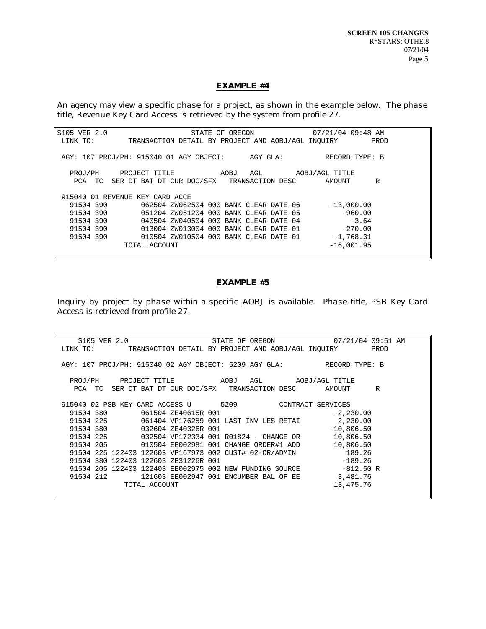#### *EXAMPLE #4*

An agency may view a *specific phase* for a project, as shown in the example below. The *phase title*, Revenue Key Card Access is retrieved by the system *from profile 27*.

| S105 VER 2.0                    |                                                    | STATE OF OREGON | 07/21/04 09:48 AM |      |
|---------------------------------|----------------------------------------------------|-----------------|-------------------|------|
| LINK TO:                        | TRANSACTION DETAIL BY PROJECT AND AOBJ/AGL INOUIRY |                 |                   | PROD |
|                                 |                                                    |                 |                   |      |
|                                 | AGY: 107 PROJ/PH: 915040 01 AGY OBJECT: AGY GLA:   |                 | RECORD TYPE: B    |      |
|                                 |                                                    |                 |                   |      |
| PROJ/PH                         | PROJECT TITLE AOBJ AGL                             |                 | AOBJ/AGL TITLE    |      |
|                                 | PCA TC SER DT BAT DT CUR DOC/SFX TRANSACTION DESC  |                 | AMOUNT            | R    |
|                                 |                                                    |                 |                   |      |
| 915040 01 REVENUE KEY CARD ACCE |                                                    |                 |                   |      |
| 91504 390                       | 062504 ZW062504 000 BANK CLEAR DATE-06             |                 | $-13,000,00$      |      |
| 91504 390                       | 051204 ZW051204 000 BANK CLEAR DATE-05             |                 | $-960.00$         |      |
|                                 | 91504 390 040504 ZW040504 000 BANK CLEAR DATE-04   |                 | $-3.64$           |      |
| 91504 390                       | 013004 ZW013004 000 BANK CLEAR DATE-01             |                 | $-270.00$         |      |
| 91504 390                       | 010504 ZW010504 000 BANK CLEAR DATE-01             |                 | $-1,768.31$       |      |
|                                 | TOTAL ACCOUNT                                      |                 | $-16,001.95$      |      |
|                                 |                                                    |                 |                   |      |

#### *EXAMPLE #5*

Inquiry by project by *phase within* a specific *AOBJ* is available. *Phase title*, PSB Key Card Access is retrieved *from profile 27*.

| S105 VER 2.0                         | STATE OF OREGON 07/21/04 09:51 AM                                    |             |
|--------------------------------------|----------------------------------------------------------------------|-------------|
|                                      | LINK TO: TRANSACTION DETAIL BY PROJECT AND AOBJ/AGL INOUIRY PROD     |             |
|                                      |                                                                      |             |
|                                      | AGY: 107 PROJ/PH: 915040 02 AGY OBJECT: 5209 AGY GLA: RECORD TYPE: B |             |
|                                      |                                                                      |             |
|                                      | PROJ/PH PROJECT TITLE AOBJ AGL AOBJ/AGL TITLE                        |             |
|                                      | PCA TC SER DT BAT DT CUR DOC/SFX TRANSACTION DESC AMOUNT R           |             |
|                                      |                                                                      |             |
|                                      | 915040 02 PSB KEY CARD ACCESS U 5209 CONTRACT SERVICES               |             |
| 91504 380 061504 ZE40615R 001        |                                                                      | $-2,230.00$ |
|                                      | 91504 225 061404 VP176289 001 LAST INV LES RETAI 2,230.00            |             |
| 91504 380 032604 ZE40326R 001        | $-10,806.50$                                                         |             |
|                                      | 91504 225 032504 VP172334 001 R01824 - CHANGE OR 10,806.50           |             |
|                                      |                                                                      | 10,806.50   |
|                                      | 91504 225 122403 122603 VP167973 002 CUST# 02-OR/ADMIN 189.26        |             |
| 91504 380 122403 122603 ZE31226R 001 |                                                                      | $-189.26$   |
|                                      | 91504 205 122403 122403 EE002975 002 NEW FUNDING SOURCE -812.50 R    |             |
| 91504 212                            | 121603 EE002947 001 ENCUMBER BAL OF EE 3,481.76                      |             |
| TOTAL ACCOUNT                        |                                                                      | 13,475.76   |
|                                      |                                                                      |             |